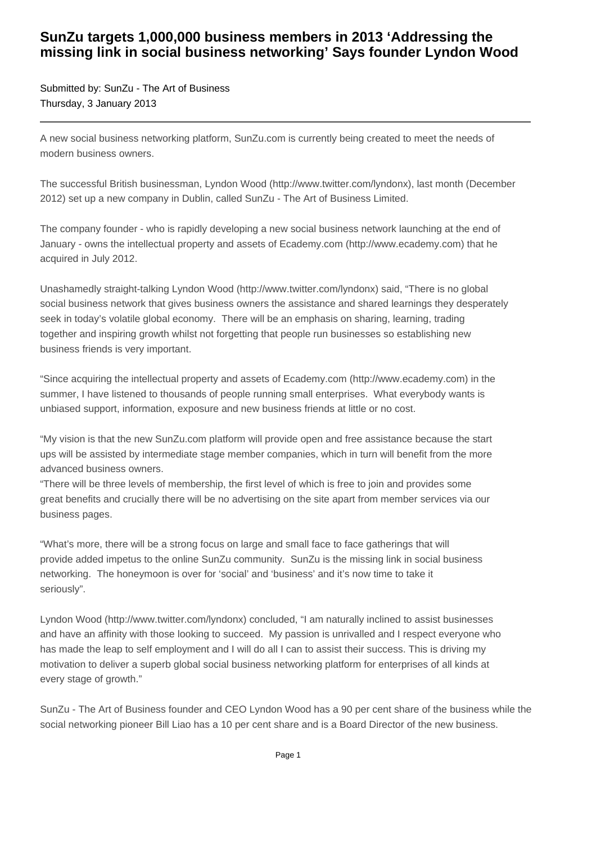## **SunZu targets 1,000,000 business members in 2013 'Addressing the missing link in social business networking' Says founder Lyndon Wood**

Submitted by: SunZu - The Art of Business Thursday, 3 January 2013

A new social business networking platform, SunZu.com is currently being created to meet the needs of modern business owners.

The successful British businessman, Lyndon Wood (http://www.twitter.com/lyndonx), last month (December 2012) set up a new company in Dublin, called SunZu - The Art of Business Limited.

The company founder - who is rapidly developing a new social business network launching at the end of January - owns the intellectual property and assets of Ecademy.com (http://www.ecademy.com) that he acquired in July 2012.

Unashamedly straight-talking Lyndon Wood (http://www.twitter.com/lyndonx) said, "There is no global social business network that gives business owners the assistance and shared learnings they desperately seek in today's volatile global economy. There will be an emphasis on sharing, learning, trading together and inspiring growth whilst not forgetting that people run businesses so establishing new business friends is very important.

"Since acquiring the intellectual property and assets of Ecademy.com (http://www.ecademy.com) in the summer, I have listened to thousands of people running small enterprises. What everybody wants is unbiased support, information, exposure and new business friends at little or no cost.

"My vision is that the new SunZu.com platform will provide open and free assistance because the start ups will be assisted by intermediate stage member companies, which in turn will benefit from the more advanced business owners.

"There will be three levels of membership, the first level of which is free to join and provides some great benefits and crucially there will be no advertising on the site apart from member services via our business pages.

"What's more, there will be a strong focus on large and small face to face gatherings that will provide added impetus to the online SunZu community. SunZu is the missing link in social business networking. The honeymoon is over for 'social' and 'business' and it's now time to take it seriously".

Lyndon Wood (http://www.twitter.com/lyndonx) concluded, "I am naturally inclined to assist businesses and have an affinity with those looking to succeed. My passion is unrivalled and I respect everyone who has made the leap to self employment and I will do all I can to assist their success. This is driving my motivation to deliver a superb global social business networking platform for enterprises of all kinds at every stage of growth."

SunZu - The Art of Business founder and CEO Lyndon Wood has a 90 per cent share of the business while the social networking pioneer Bill Liao has a 10 per cent share and is a Board Director of the new business.